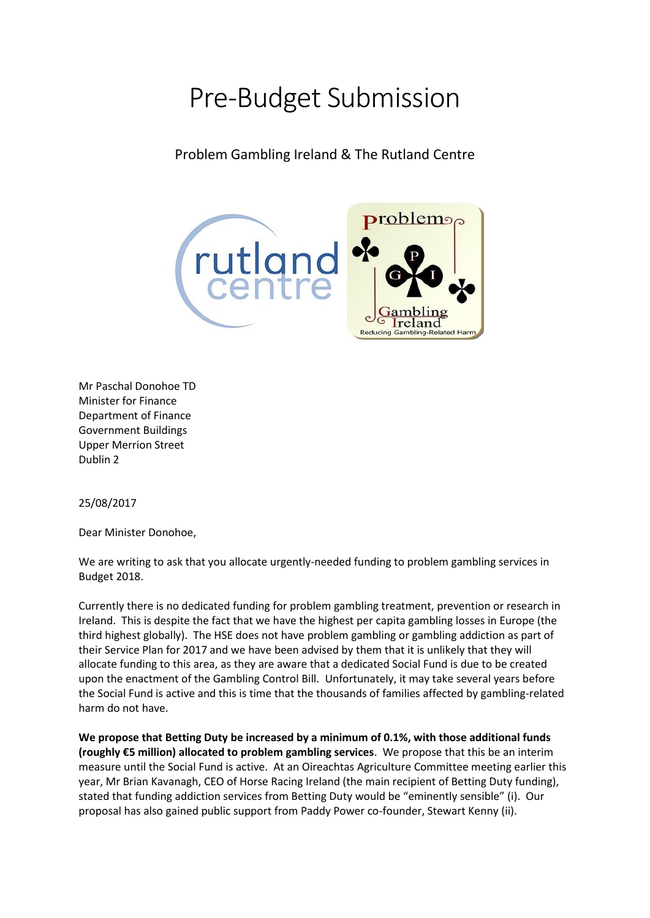# Pre-Budget Submission

Problem Gambling Ireland & The Rutland Centre



Mr Paschal Donohoe TD Minister for Finance Department of Finance Government Buildings Upper Merrion Street Dublin 2

25/08/2017

Dear Minister Donohoe,

We are writing to ask that you allocate urgently-needed funding to problem gambling services in Budget 2018.

Currently there is no dedicated funding for problem gambling treatment, prevention or research in Ireland. This is despite the fact that we have the highest per capita gambling losses in Europe (the third highest globally). The HSE does not have problem gambling or gambling addiction as part of their Service Plan for 2017 and we have been advised by them that it is unlikely that they will allocate funding to this area, as they are aware that a dedicated Social Fund is due to be created upon the enactment of the Gambling Control Bill. Unfortunately, it may take several years before the Social Fund is active and this is time that the thousands of families affected by gambling-related harm do not have.

**We propose that Betting Duty be increased by a minimum of 0.1%, with those additional funds (roughly €5 million) allocated to problem gambling services**. We propose that this be an interim measure until the Social Fund is active. At an Oireachtas Agriculture Committee meeting earlier this year, Mr Brian Kavanagh, CEO of Horse Racing Ireland (the main recipient of Betting Duty funding), stated that funding addiction services from Betting Duty would be "eminently sensible" (i). Our proposal has also gained public support from Paddy Power co-founder, Stewart Kenny (ii).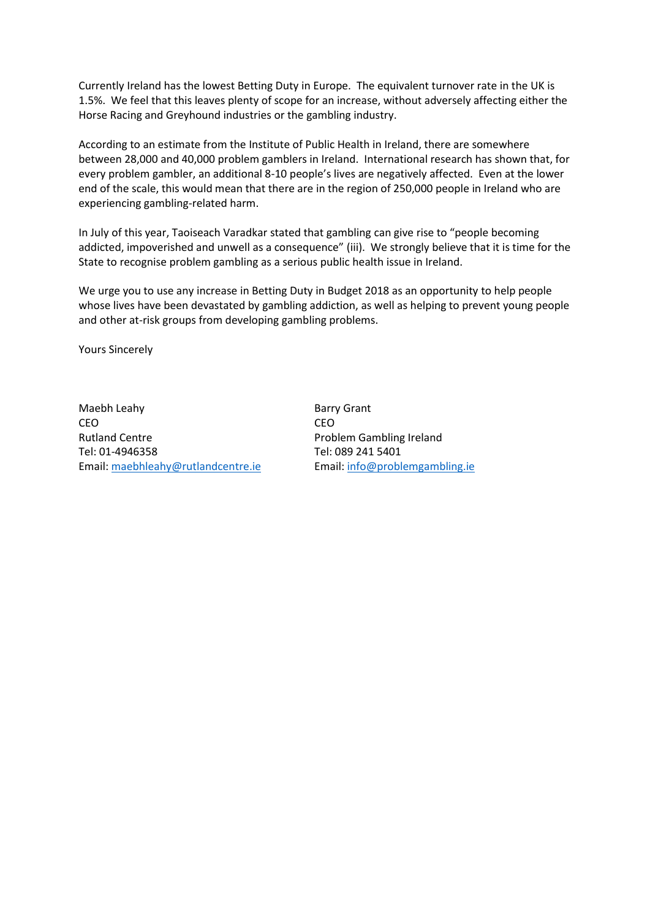Currently Ireland has the lowest Betting Duty in Europe. The equivalent turnover rate in the UK is 1.5%. We feel that this leaves plenty of scope for an increase, without adversely affecting either the Horse Racing and Greyhound industries or the gambling industry.

According to an estimate from the Institute of Public Health in Ireland, there are somewhere between 28,000 and 40,000 problem gamblers in Ireland. International research has shown that, for every problem gambler, an additional 8-10 people's lives are negatively affected. Even at the lower end of the scale, this would mean that there are in the region of 250,000 people in Ireland who are experiencing gambling-related harm.

In July of this year, Taoiseach Varadkar stated that gambling can give rise to "people becoming addicted, impoverished and unwell as a consequence" (iii). We strongly believe that it is time for the State to recognise problem gambling as a serious public health issue in Ireland.

We urge you to use any increase in Betting Duty in Budget 2018 as an opportunity to help people whose lives have been devastated by gambling addiction, as well as helping to prevent young people and other at-risk groups from developing gambling problems.

Yours Sincerely

Maebh Leahy **Barry Grant** CEO CEO Rutland Centre **Problem Gambling Ireland** Tel: 01-4946358 Tel: 089 241 5401 Email: [maebhleahy@rutlandcentre.ie](mailto:maebhleahy@rutlandcentre.ie) Email: [info@problemgambling.ie](mailto:info@problemgambling.ie)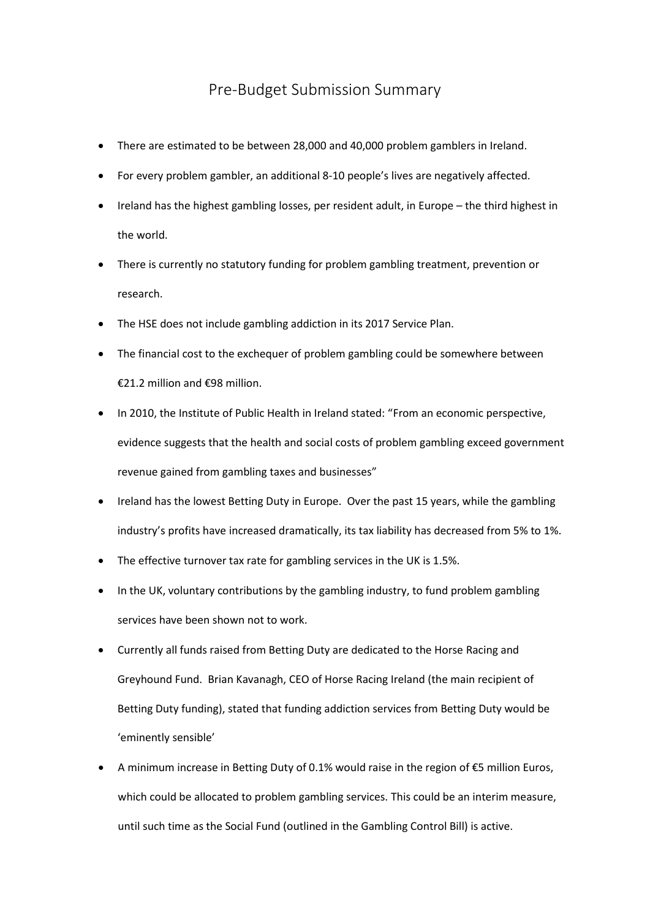### Pre-Budget Submission Summary

- There are estimated to be between 28,000 and 40,000 problem gamblers in Ireland.
- For every problem gambler, an additional 8-10 people's lives are negatively affected.
- Ireland has the highest gambling losses, per resident adult, in Europe the third highest in the world.
- There is currently no statutory funding for problem gambling treatment, prevention or research.
- The HSE does not include gambling addiction in its 2017 Service Plan.
- The financial cost to the exchequer of problem gambling could be somewhere between €21.2 million and €98 million.
- In 2010, the Institute of Public Health in Ireland stated: "From an economic perspective, evidence suggests that the health and social costs of problem gambling exceed government revenue gained from gambling taxes and businesses"
- Ireland has the lowest Betting Duty in Europe. Over the past 15 years, while the gambling industry's profits have increased dramatically, its tax liability has decreased from 5% to 1%.
- The effective turnover tax rate for gambling services in the UK is 1.5%.
- In the UK, voluntary contributions by the gambling industry, to fund problem gambling services have been shown not to work.
- Currently all funds raised from Betting Duty are dedicated to the Horse Racing and Greyhound Fund. Brian Kavanagh, CEO of Horse Racing Ireland (the main recipient of Betting Duty funding), stated that funding addiction services from Betting Duty would be 'eminently sensible'
- A minimum increase in Betting Duty of 0.1% would raise in the region of €5 million Euros, which could be allocated to problem gambling services. This could be an interim measure, until such time as the Social Fund (outlined in the Gambling Control Bill) is active.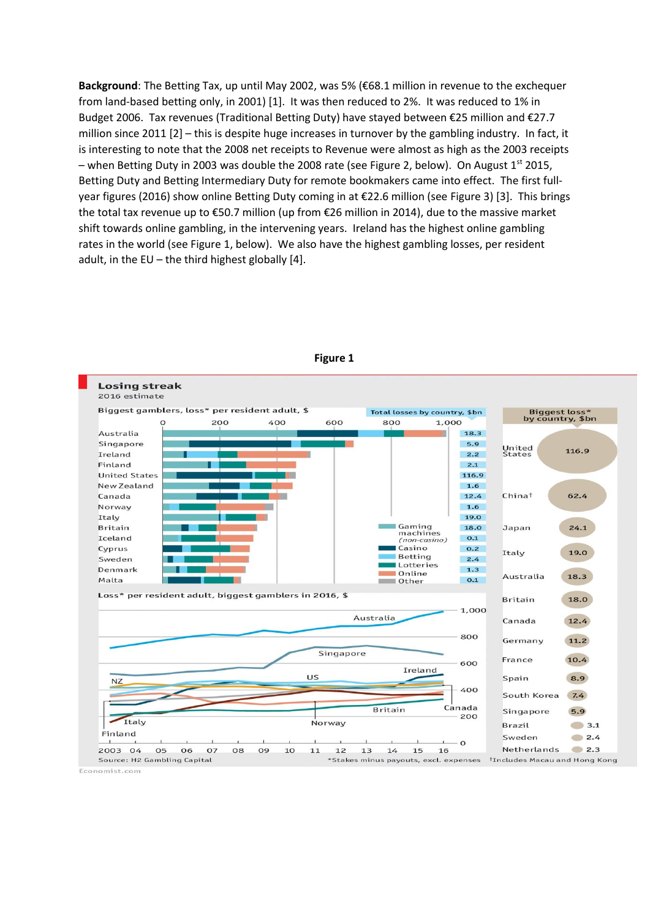**Background**: The Betting Tax, up until May 2002, was 5% (€68.1 million in revenue to the exchequer from land-based betting only, in 2001) [1]. It was then reduced to 2%. It was reduced to 1% in Budget 2006. Tax revenues (Traditional Betting Duty) have stayed between €25 million and €27.7 million since 2011 [2] – this is despite huge increases in turnover by the gambling industry. In fact, it is interesting to note that the 2008 net receipts to Revenue were almost as high as the 2003 receipts – when Betting Duty in 2003 was double the 2008 rate (see Figure 2, below). On August  $1^{st}$  2015, Betting Duty and Betting Intermediary Duty for remote bookmakers came into effect. The first fullyear figures (2016) show online Betting Duty coming in at €22.6 million (see Figure 3) [3]. This brings the total tax revenue up to €50.7 million (up from €26 million in 2014), due to the massive market shift towards online gambling, in the intervening years. Ireland has the highest online gambling rates in the world (see Figure 1, below). We also have the highest gambling losses, per resident adult, in the  $EU$  – the third highest globally [4].



#### **Figure 1**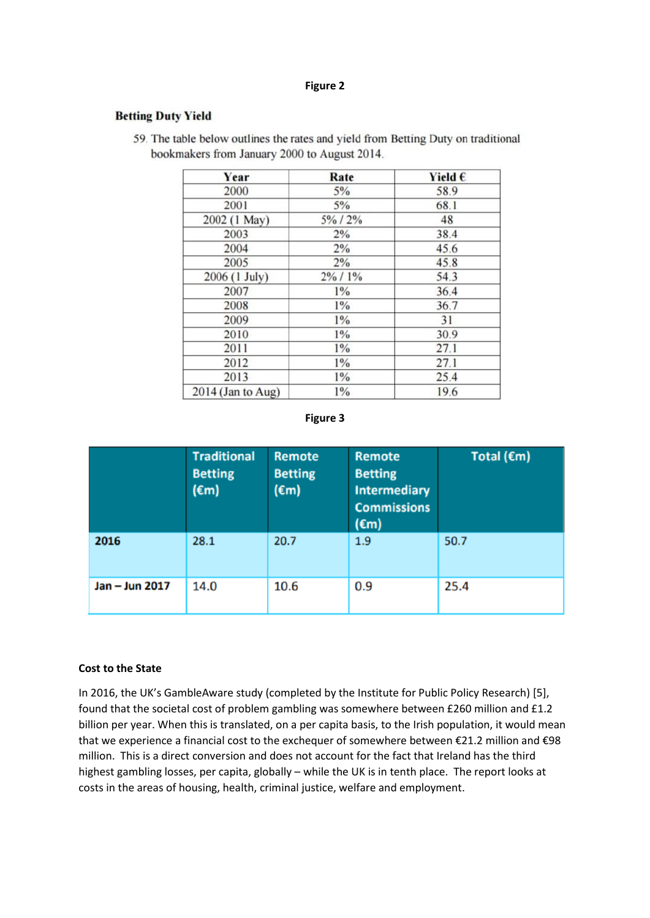#### **Figure 2**

#### **Betting Duty Yield**

59. The table below outlines the rates and yield from Betting Duty on traditional bookmakers from January 2000 to August 2014.

| Year              | Rate    | <b>Yield</b> $\epsilon$ |
|-------------------|---------|-------------------------|
| 2000              | 5%      | 58.9                    |
| 2001              | 5%      | 68.1                    |
| 2002 (1 May)      | 5% / 2% | 48                      |
| 2003              | 2%      | 38.4                    |
| 2004              | 2%      | 45.6                    |
| 2005              | 2%      | 45.8                    |
| 2006 (1 July)     | 2%/1%   | 54.3                    |
| 2007              | $1\%$   | 36.4                    |
| 2008              | $1\%$   | 36.7                    |
| 2009              | $1\%$   | 31                      |
| 2010              | $1\%$   | 30.9                    |
| 2011              | $1\%$   | 27.1                    |
| 2012              | $1\%$   | 27.1                    |
| 2013              | $1\%$   | 25.4                    |
| 2014 (Jan to Aug) | $1\%$   | 19.6                    |

**Figure 3**

|                | <b>Traditional</b><br><b>Betting</b><br>$(\epsilon m)$ | <b>Remote</b><br><b>Betting</b><br>$(\epsilon m)$ | <b>Remote</b><br><b>Betting</b><br><b>Intermediary</b><br><b>Commissions</b><br>$(\epsilon m)$ | Total $(\epsilon m)$ |
|----------------|--------------------------------------------------------|---------------------------------------------------|------------------------------------------------------------------------------------------------|----------------------|
| 2016           | 28.1                                                   | 20.7                                              | 1.9                                                                                            | 50.7                 |
| Jan - Jun 2017 | 14.0                                                   | 10.6                                              | 0.9                                                                                            | 25.4                 |

#### **Cost to the State**

In 2016, the UK's GambleAware study (completed by the Institute for Public Policy Research) [5], found that the societal cost of problem gambling was somewhere between £260 million and £1.2 billion per year. When this is translated, on a per capita basis, to the Irish population, it would mean that we experience a financial cost to the exchequer of somewhere between €21.2 million and €98 million. This is a direct conversion and does not account for the fact that Ireland has the third highest gambling losses, per capita, globally – while the UK is in tenth place. The report looks at costs in the areas of housing, health, criminal justice, welfare and employment.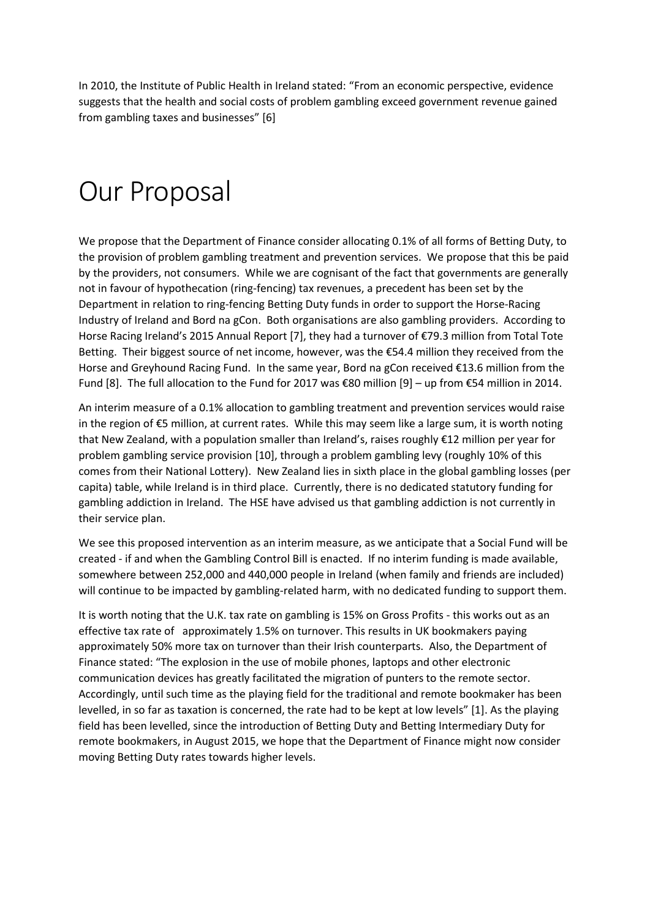In 2010, the Institute of Public Health in Ireland stated: "From an economic perspective, evidence suggests that the health and social costs of problem gambling exceed government revenue gained from gambling taxes and businesses" [6]

## Our Proposal

We propose that the Department of Finance consider allocating 0.1% of all forms of Betting Duty, to the provision of problem gambling treatment and prevention services. We propose that this be paid by the providers, not consumers. While we are cognisant of the fact that governments are generally not in favour of hypothecation (ring-fencing) tax revenues, a precedent has been set by the Department in relation to ring-fencing Betting Duty funds in order to support the Horse-Racing Industry of Ireland and Bord na gCon. Both organisations are also gambling providers. According to Horse Racing Ireland's 2015 Annual Report [7], they had a turnover of €79.3 million from Total Tote Betting. Their biggest source of net income, however, was the €54.4 million they received from the Horse and Greyhound Racing Fund. In the same year, Bord na gCon received €13.6 million from the Fund [8]. The full allocation to the Fund for 2017 was €80 million [9] – up from €54 million in 2014.

An interim measure of a 0.1% allocation to gambling treatment and prevention services would raise in the region of €5 million, at current rates. While this may seem like a large sum, it is worth noting that New Zealand, with a population smaller than Ireland's, raises roughly €12 million per year for problem gambling service provision [10], through a problem gambling levy (roughly 10% of this comes from their National Lottery). New Zealand lies in sixth place in the global gambling losses (per capita) table, while Ireland is in third place. Currently, there is no dedicated statutory funding for gambling addiction in Ireland. The HSE have advised us that gambling addiction is not currently in their service plan.

We see this proposed intervention as an interim measure, as we anticipate that a Social Fund will be created - if and when the Gambling Control Bill is enacted. If no interim funding is made available, somewhere between 252,000 and 440,000 people in Ireland (when family and friends are included) will continue to be impacted by gambling-related harm, with no dedicated funding to support them.

It is worth noting that the U.K. tax rate on gambling is 15% on Gross Profits - this works out as an effective tax rate of approximately 1.5% on turnover. This results in UK bookmakers paying approximately 50% more tax on turnover than their Irish counterparts. Also, the Department of Finance stated: "The explosion in the use of mobile phones, laptops and other electronic communication devices has greatly facilitated the migration of punters to the remote sector. Accordingly, until such time as the playing field for the traditional and remote bookmaker has been levelled, in so far as taxation is concerned, the rate had to be kept at low levels" [1]. As the playing field has been levelled, since the introduction of Betting Duty and Betting Intermediary Duty for remote bookmakers, in August 2015, we hope that the Department of Finance might now consider moving Betting Duty rates towards higher levels.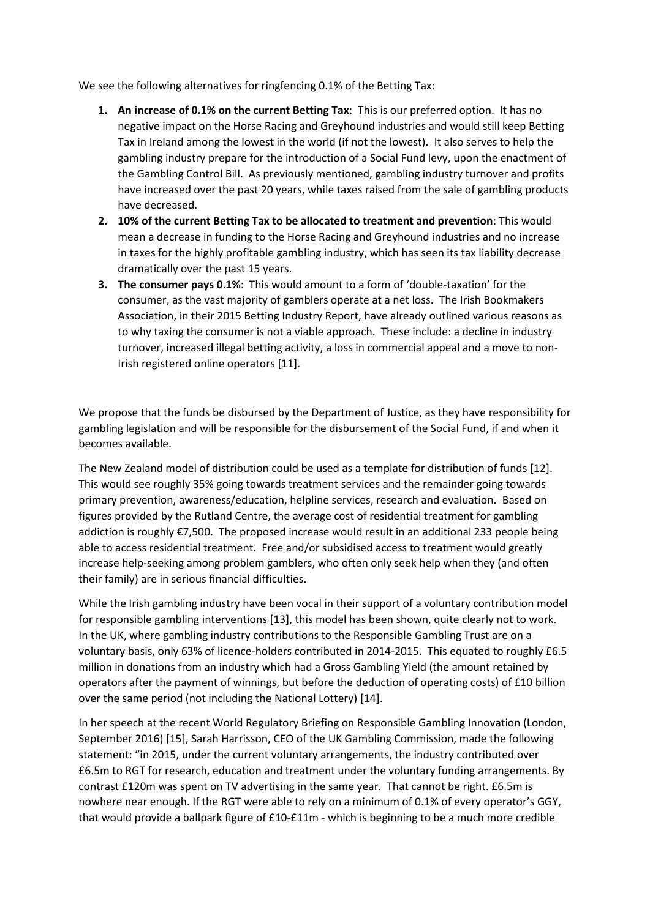We see the following alternatives for ringfencing 0.1% of the Betting Tax:

- **1. An increase of 0.1% on the current Betting Tax**: This is our preferred option. It has no negative impact on the Horse Racing and Greyhound industries and would still keep Betting Tax in Ireland among the lowest in the world (if not the lowest). It also serves to help the gambling industry prepare for the introduction of a Social Fund levy, upon the enactment of the Gambling Control Bill. As previously mentioned, gambling industry turnover and profits have increased over the past 20 years, while taxes raised from the sale of gambling products have decreased.
- **2. 10% of the current Betting Tax to be allocated to treatment and prevention**: This would mean a decrease in funding to the Horse Racing and Greyhound industries and no increase in taxes for the highly profitable gambling industry, which has seen its tax liability decrease dramatically over the past 15 years.
- **3. The consumer pays 0**.**1%**: This would amount to a form of 'double-taxation' for the consumer, as the vast majority of gamblers operate at a net loss. The Irish Bookmakers Association, in their 2015 Betting Industry Report, have already outlined various reasons as to why taxing the consumer is not a viable approach. These include: a decline in industry turnover, increased illegal betting activity, a loss in commercial appeal and a move to non-Irish registered online operators [11].

We propose that the funds be disbursed by the Department of Justice, as they have responsibility for gambling legislation and will be responsible for the disbursement of the Social Fund, if and when it becomes available.

The New Zealand model of distribution could be used as a template for distribution of funds [12]. This would see roughly 35% going towards treatment services and the remainder going towards primary prevention, awareness/education, helpline services, research and evaluation. Based on figures provided by the Rutland Centre, the average cost of residential treatment for gambling addiction is roughly €7,500. The proposed increase would result in an additional 233 people being able to access residential treatment. Free and/or subsidised access to treatment would greatly increase help-seeking among problem gamblers, who often only seek help when they (and often their family) are in serious financial difficulties.

While the Irish gambling industry have been vocal in their support of a voluntary contribution model for responsible gambling interventions [13], this model has been shown, quite clearly not to work. In the UK, where gambling industry contributions to the Responsible Gambling Trust are on a voluntary basis, only 63% of licence-holders contributed in 2014-2015. This equated to roughly £6.5 million in donations from an industry which had a Gross Gambling Yield (the amount retained by operators after the payment of winnings, but before the deduction of operating costs) of £10 billion over the same period (not including the National Lottery) [14].

In her speech at the recent World Regulatory Briefing on Responsible Gambling Innovation (London, September 2016) [15], Sarah Harrisson, CEO of the UK Gambling Commission, made the following statement: "in 2015, under the current voluntary arrangements, the industry contributed over £6.5m to RGT for research, education and treatment under the voluntary funding arrangements. By contrast £120m was spent on TV advertising in the same year. That cannot be right. £6.5m is nowhere near enough. If the RGT were able to rely on a minimum of 0.1% of every operator's GGY, that would provide a ballpark figure of £10-£11m - which is beginning to be a much more credible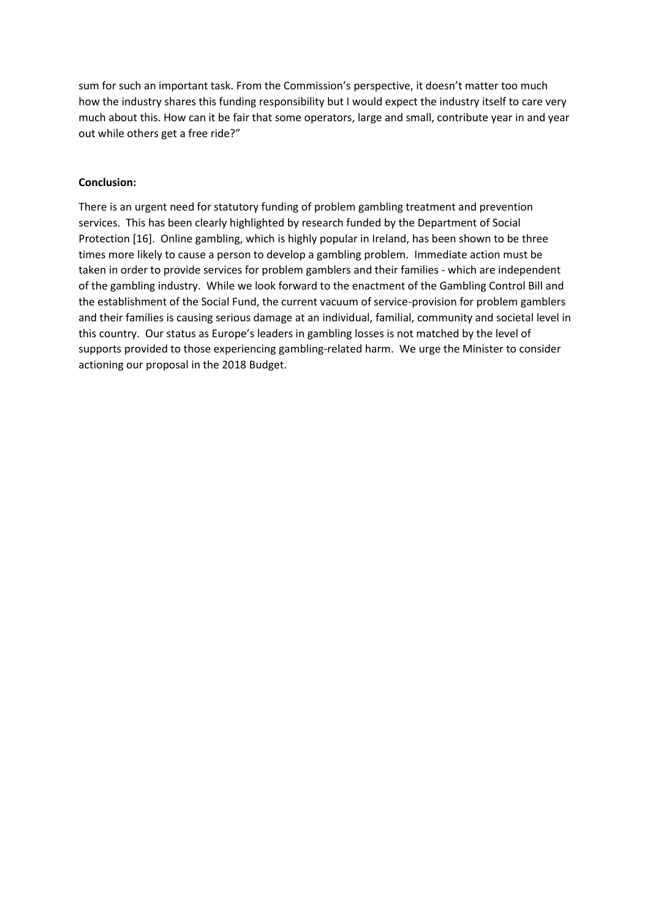sum for such an important task. From the Commission's perspective, it doesn't matter too much how the industry shares this funding responsibility but I would expect the industry itself to care very much about this. How can it be fair that some operators, large and small, contribute year in and year out while others get a free ride?"

#### **Conclusion:**

There is an urgent need for statutory funding of problem gambling treatment and prevention services. This has been clearly highlighted by research funded by the Department of Social Protection [16]. Online gambling, which is highly popular in Ireland, has been shown to be three times more likely to cause a person to develop a gambling problem. Immediate action must be taken in order to provide services for problem gamblers and their families - which are independent of the gambling industry. While we look forward to the enactment of the Gambling Control Bill and the establishment of the Social Fund, the current vacuum of service-provision for problem gamblers and their families is causing serious damage at an individual, familial, community and societal level in this country. Our status as Europe's leaders in gambling losses is not matched by the level of supports provided to those experiencing gambling-related harm. We urge the Minister to consider actioning our proposal in the 2018 Budget.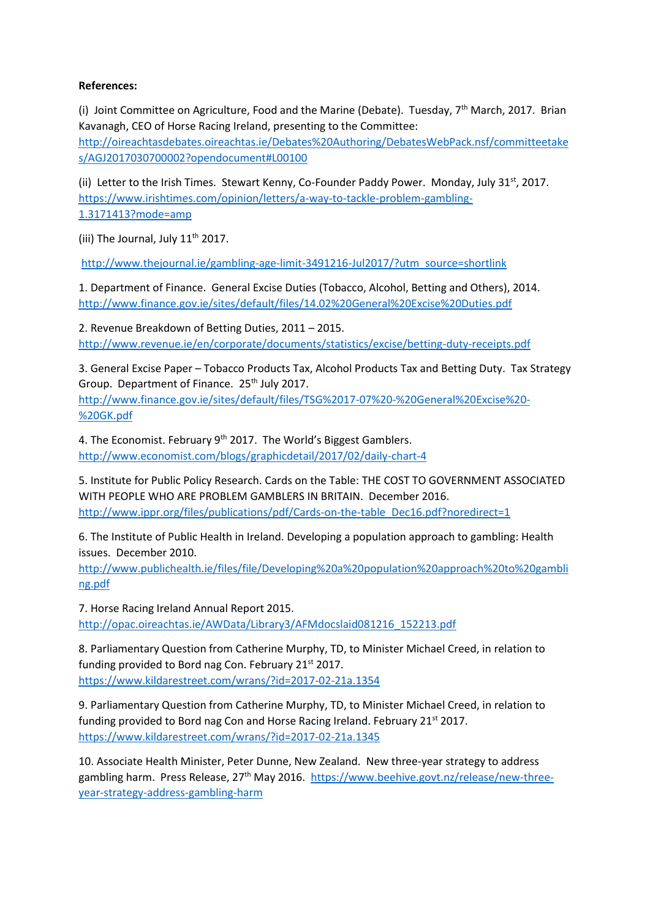#### **References:**

(i) Joint Committee on Agriculture, Food and the Marine (Debate). Tuesday,  $7<sup>th</sup>$  March, 2017. Brian Kavanagh, CEO of Horse Racing Ireland, presenting to the Committee:

[http://oireachtasdebates.oireachtas.ie/Debates%20Authoring/DebatesWebPack.nsf/committeetake](http://oireachtasdebates.oireachtas.ie/Debates%20Authoring/DebatesWebPack.nsf/committeetakes/AGJ2017030700002?opendocument#L00100) [s/AGJ2017030700002?opendocument#L00100](http://oireachtasdebates.oireachtas.ie/Debates%20Authoring/DebatesWebPack.nsf/committeetakes/AGJ2017030700002?opendocument#L00100)

(ii) Letter to the Irish Times. Stewart Kenny, Co-Founder Paddy Power. Monday, July 31st, 2017. [https://www.irishtimes.com/opinion/letters/a-way-to-tackle-problem-gambling-](https://www.irishtimes.com/opinion/letters/a-way-to-tackle-problem-gambling-1.3171413?mode=amp)[1.3171413?mode=amp](https://www.irishtimes.com/opinion/letters/a-way-to-tackle-problem-gambling-1.3171413?mode=amp)

(iii) The Journal, July  $11<sup>th</sup> 2017$ .

[http://www.thejournal.ie/gambling-age-limit-3491216-Jul2017/?utm\\_source=shortlink](http://www.thejournal.ie/gambling-age-limit-3491216-Jul2017/?utm_source=shortlink)

1. Department of Finance. General Excise Duties (Tobacco, Alcohol, Betting and Others), 2014. <http://www.finance.gov.ie/sites/default/files/14.02%20General%20Excise%20Duties.pdf>

2. Revenue Breakdown of Betting Duties, 2011 – 2015. <http://www.revenue.ie/en/corporate/documents/statistics/excise/betting-duty-receipts.pdf>

3. General Excise Paper – Tobacco Products Tax, Alcohol Products Tax and Betting Duty. Tax Strategy Group. Department of Finance. 25<sup>th</sup> July 2017. [http://www.finance.gov.ie/sites/default/files/TSG%2017-07%20-%20General%20Excise%20-](http://www.finance.gov.ie/sites/default/files/TSG%2017-07%20-%20General%20Excise%20-%20GK.pdf) [%20GK.pdf](http://www.finance.gov.ie/sites/default/files/TSG%2017-07%20-%20General%20Excise%20-%20GK.pdf)

4. The Economist. February  $9<sup>th</sup>$  2017. The World's Biggest Gamblers. <http://www.economist.com/blogs/graphicdetail/2017/02/daily-chart-4>

5. Institute for Public Policy Research. Cards on the Table: THE COST TO GOVERNMENT ASSOCIATED WITH PEOPLE WHO ARE PROBLEM GAMBLERS IN BRITAIN. December 2016. [http://www.ippr.org/files/publications/pdf/Cards-on-the-table\\_Dec16.pdf?noredirect=1](http://www.ippr.org/files/publications/pdf/Cards-on-the-table_Dec16.pdf?noredirect=1)

6. The Institute of Public Health in Ireland. Developing a population approach to gambling: Health issues. December 2010.

[http://www.publichealth.ie/files/file/Developing%20a%20population%20approach%20to%20gambli](http://www.publichealth.ie/files/file/Developing%20a%20population%20approach%20to%20gambling.pdf) [ng.pdf](http://www.publichealth.ie/files/file/Developing%20a%20population%20approach%20to%20gambling.pdf)

7. Horse Racing Ireland Annual Report 2015. [http://opac.oireachtas.ie/AWData/Library3/AFMdocslaid081216\\_152213.pdf](http://opac.oireachtas.ie/AWData/Library3/AFMdocslaid081216_152213.pdf)

8. Parliamentary Question from Catherine Murphy, TD, to Minister Michael Creed, in relation to funding provided to Bord nag Con. February 21<sup>st</sup> 2017. <https://www.kildarestreet.com/wrans/?id=2017-02-21a.1354>

9. Parliamentary Question from Catherine Murphy, TD, to Minister Michael Creed, in relation to funding provided to Bord nag Con and Horse Racing Ireland. February 21<sup>st</sup> 2017. <https://www.kildarestreet.com/wrans/?id=2017-02-21a.1345>

10. Associate Health Minister, Peter Dunne, New Zealand. New three-year strategy to address gambling harm. Press Release, 27th May 2016. [https://www.beehive.govt.nz/release/new-three](https://www.beehive.govt.nz/release/new-three-year-strategy-address-gambling-harm)[year-strategy-address-gambling-harm](https://www.beehive.govt.nz/release/new-three-year-strategy-address-gambling-harm)